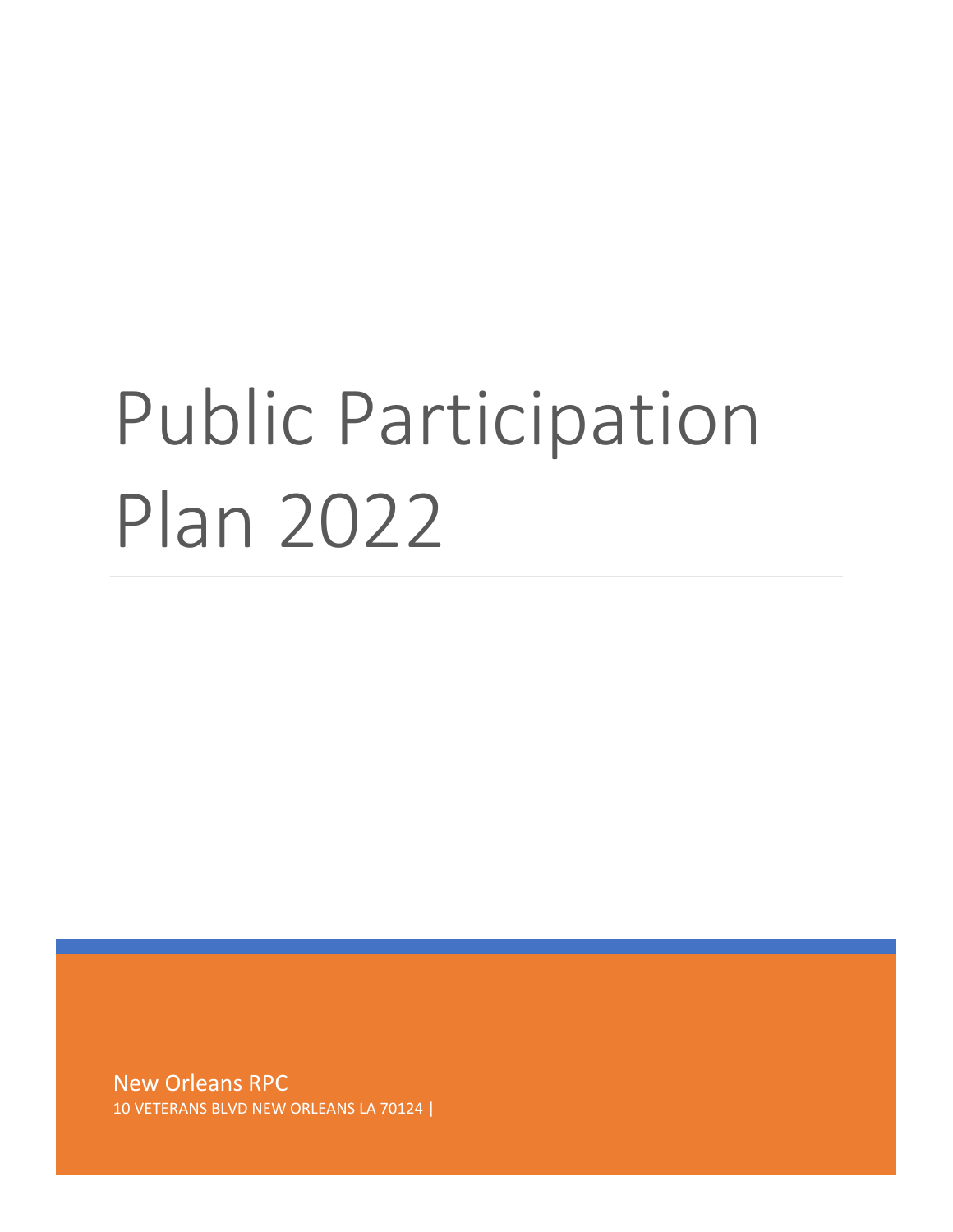# Public Participation Plan 2022

New Orleans RPC 10 VETERANS BLVD NEW ORLEANS LA 70124 |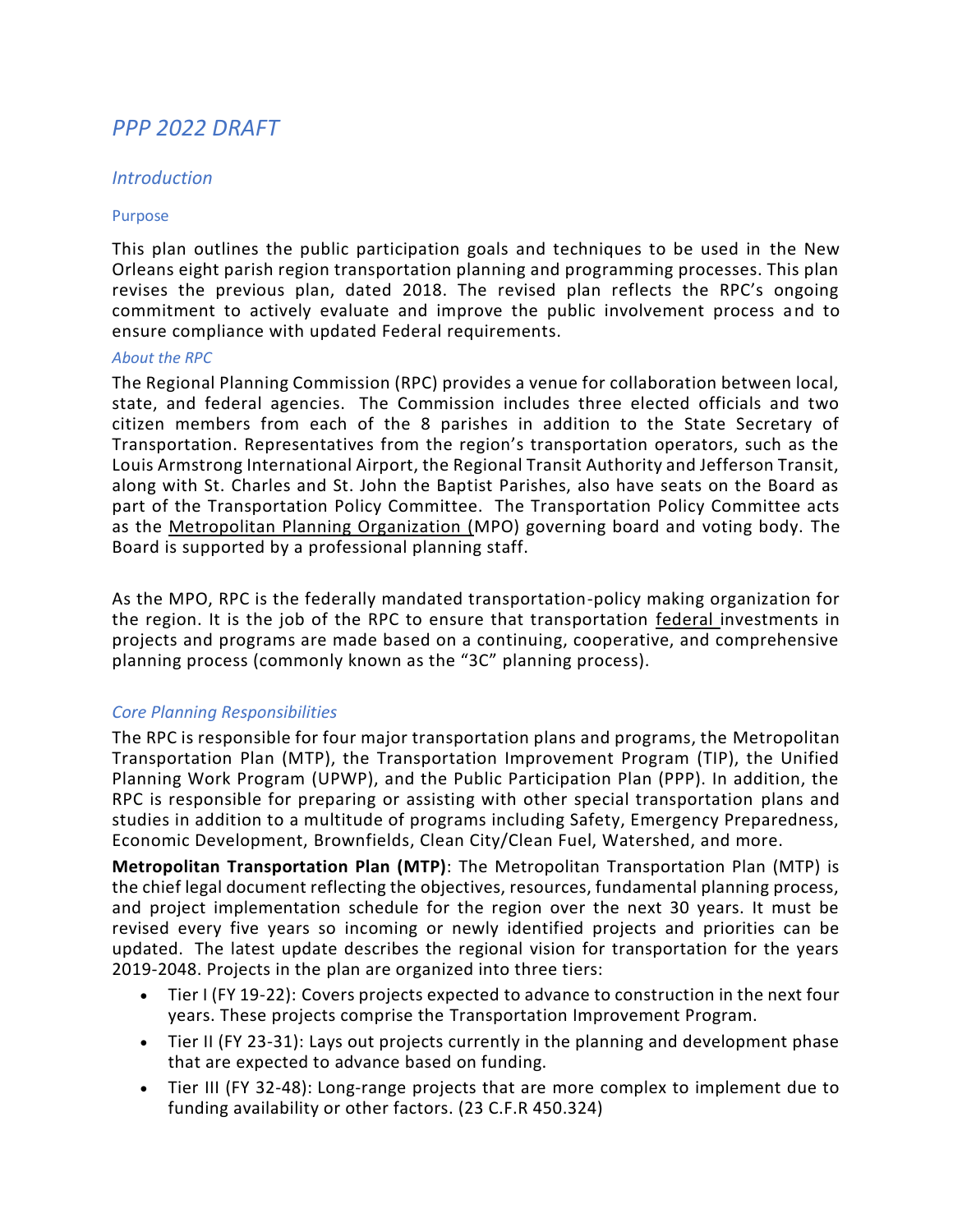# *PPP 2022 DRAFT*

## *Introduction*

#### Purpose

This plan outlines the public participation goals and techniques to be used in the New Orleans eight parish region transportation planning and programming processes. This plan revises the previous plan, dated 2018. The revised plan reflects the RPC's ongoing commitment to actively evaluate and improve the public involvement process and to ensure compliance with updated Federal requirements.

#### *About the RPC*

The Regional Planning Commission (RPC) provides a venue for collaboration between local, state, and federal agencies. The Commission includes three elected officials and two citizen members from each of the 8 parishes in addition to the State Secretary of Transportation. Representatives from the region's transportation operators, such as the Louis Armstrong International Airport, the Regional Transit Authority and Jefferson Transit, along with St. Charles and St. John the Baptist Parishes, also have seats on the Board as part of the Transportation Policy Committee. The Transportation Policy Committee acts as the Metropolitan Planning Organization (MPO) governing board and voting body. The Board is supported by a professional planning staff.

As the MPO, RPC is the federally mandated transportation-policy making organization for the region. It is the job of the RPC to ensure that transportation federal investments in projects and programs are made based on a continuing, cooperative, and comprehensive planning process (commonly known as the "3C" planning process).

## *Core Planning Responsibilities*

The RPC is responsible for four major transportation plans and programs, the Metropolitan Transportation Plan (MTP), the Transportation Improvement Program (TIP), the Unified Planning Work Program (UPWP), and the Public Participation Plan (PPP). In addition, the RPC is responsible for preparing or assisting with other special transportation plans and studies in addition to a multitude of programs including Safety, Emergency Preparedness, Economic Development, Brownfields, Clean City/Clean Fuel, Watershed, and more.

**Metropolitan Transportation Plan (MTP)**: The Metropolitan Transportation Plan (MTP) is the chief legal document reflecting the objectives, resources, fundamental planning process, and project implementation schedule for the region over the next 30 years. It must be revised every five years so incoming or newly identified projects and priorities can be updated. The latest update describes the regional vision for transportation for the years 2019-2048. Projects in the plan are organized into three tiers:

- Tier I (FY 19-22): Covers projects expected to advance to construction in the next four years. These projects comprise the Transportation Improvement Program.
- Tier II (FY 23-31): Lays out projects currently in the planning and development phase that are expected to advance based on funding.
- Tier III (FY 32-48): Long-range projects that are more complex to implement due to funding availability or other factors. (23 C.F.R 450.324)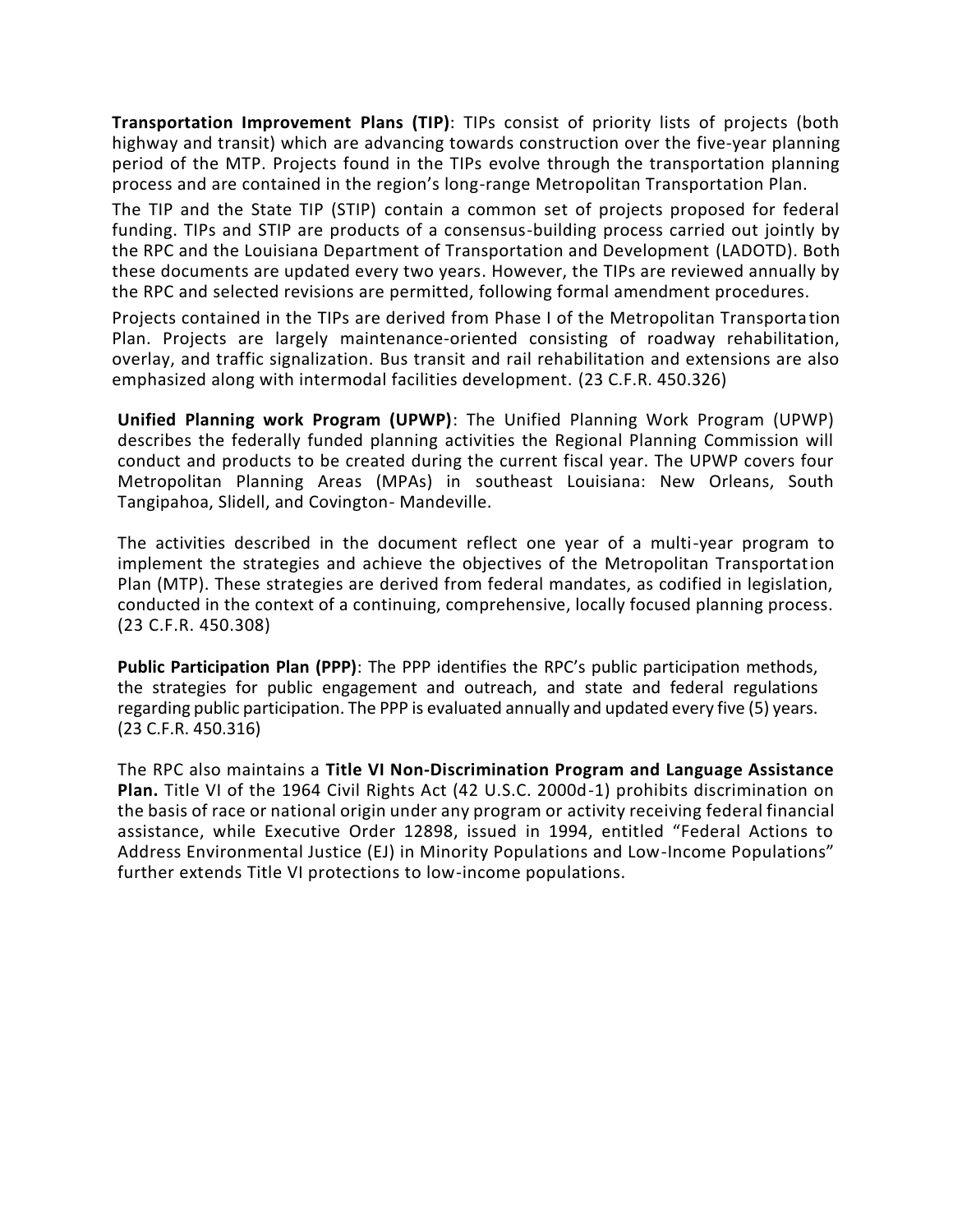**Transportation Improvement Plans (TIP)**: TIPs consist of priority lists of projects (both highway and transit) which are advancing towards construction over the five-year planning period of the MTP. Projects found in the TIPs evolve through the transportation planning process and are contained in the region's long-range Metropolitan Transportation Plan.

The TIP and the State TIP (STIP) contain a common set of projects proposed for federal funding. TIPs and STIP are products of a consensus-building process carried out jointly by the RPC and the Louisiana Department of Transportation and Development (LADOTD). Both these documents are updated every two years. However, the TIPs are reviewed annually by the RPC and selected revisions are permitted, following formal amendment procedures.

Projects contained in the TIPs are derived from Phase I of the Metropolitan Transportation Plan. Projects are largely maintenance-oriented consisting of roadway rehabilitation, overlay, and traffic signalization. Bus transit and rail rehabilitation and extensions are also emphasized along with intermodal facilities development. (23 C.F.R. 450.326)

**Unified Planning work Program (UPWP)**: The Unified Planning Work Program (UPWP) describes the federally funded planning activities the Regional Planning Commission will conduct and products to be created during the current fiscal year. The UPWP covers four Metropolitan Planning Areas (MPAs) in southeast Louisiana: New Orleans, South Tangipahoa, Slidell, and Covington- Mandeville.

The activities described in the document reflect one year of a multi-year program to implement the strategies and achieve the objectives of the Metropolitan Transportation Plan (MTP). These strategies are derived from federal mandates, as codified in legislation, conducted in the context of a continuing, comprehensive, locally focused planning process. (23 C.F.R. 450.308)

**Public Participation Plan (PPP)**: The PPP identifies the RPC's public participation methods, the strategies for public engagement and outreach, and state and federal regulations regarding public participation. The PPP is evaluated annually and updated every five (5) years. (23 C.F.R. 450.316)

The RPC also maintains a **Title VI Non-Discrimination Program and Language Assistance Plan.** Title VI of the 1964 Civil Rights Act (42 U.S.C. 2000d-1) prohibits discrimination on the basis of race or national origin under any program or activity receiving federal financial assistance, while Executive Order 12898, issued in 1994, entitled "Federal Actions to Address Environmental Justice (EJ) in Minority Populations and Low-Income Populations" further extends Title VI protections to low-income populations.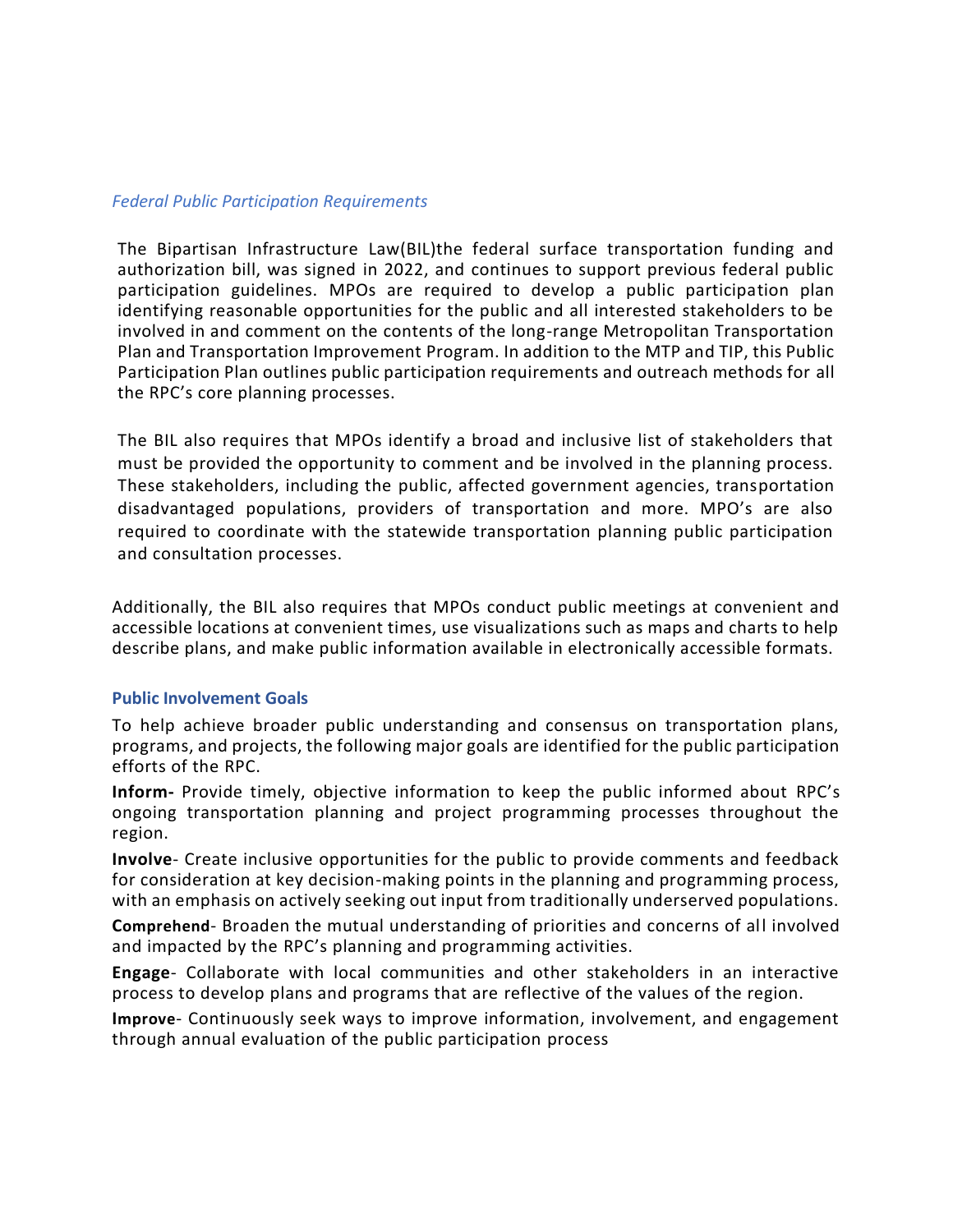#### *Federal Public Participation Requirements*

The Bipartisan Infrastructure Law(BIL)the federal surface transportation funding and authorization bill, was signed in 2022, and continues to support previous federal public participation guidelines. MPOs are required to develop a public participation plan identifying reasonable opportunities for the public and all interested stakeholders to be involved in and comment on the contents of the long-range Metropolitan Transportation Plan and Transportation Improvement Program. In addition to the MTP and TIP, this Public Participation Plan outlines public participation requirements and outreach methods for all the RPC's core planning processes.

The BIL also requires that MPOs identify a broad and inclusive list of stakeholders that must be provided the opportunity to comment and be involved in the planning process. These stakeholders, including the public, affected government agencies, transportation disadvantaged populations, providers of transportation and more. MPO's are also required to coordinate with the statewide transportation planning public participation and consultation processes.

Additionally, the BIL also requires that MPOs conduct public meetings at convenient and accessible locations at convenient times, use visualizations such as maps and charts to help describe plans, and make public information available in electronically accessible formats.

#### **Public Involvement Goals**

To help achieve broader public understanding and consensus on transportation plans, programs, and projects, the following major goals are identified for the public participation efforts of the RPC.

**Inform-** Provide timely, objective information to keep the public informed about RPC's ongoing transportation planning and project programming processes throughout the region.

**Involve**- Create inclusive opportunities for the public to provide comments and feedback for consideration at key decision-making points in the planning and programming process, with an emphasis on actively seeking out input from traditionally underserved populations.

**Comprehend**- Broaden the mutual understanding of priorities and concerns of all involved and impacted by the RPC's planning and programming activities.

**Engage**- Collaborate with local communities and other stakeholders in an interactive process to develop plans and programs that are reflective of the values of the region.

**Improve**- Continuously seek ways to improve information, involvement, and engagement through annual evaluation of the public participation process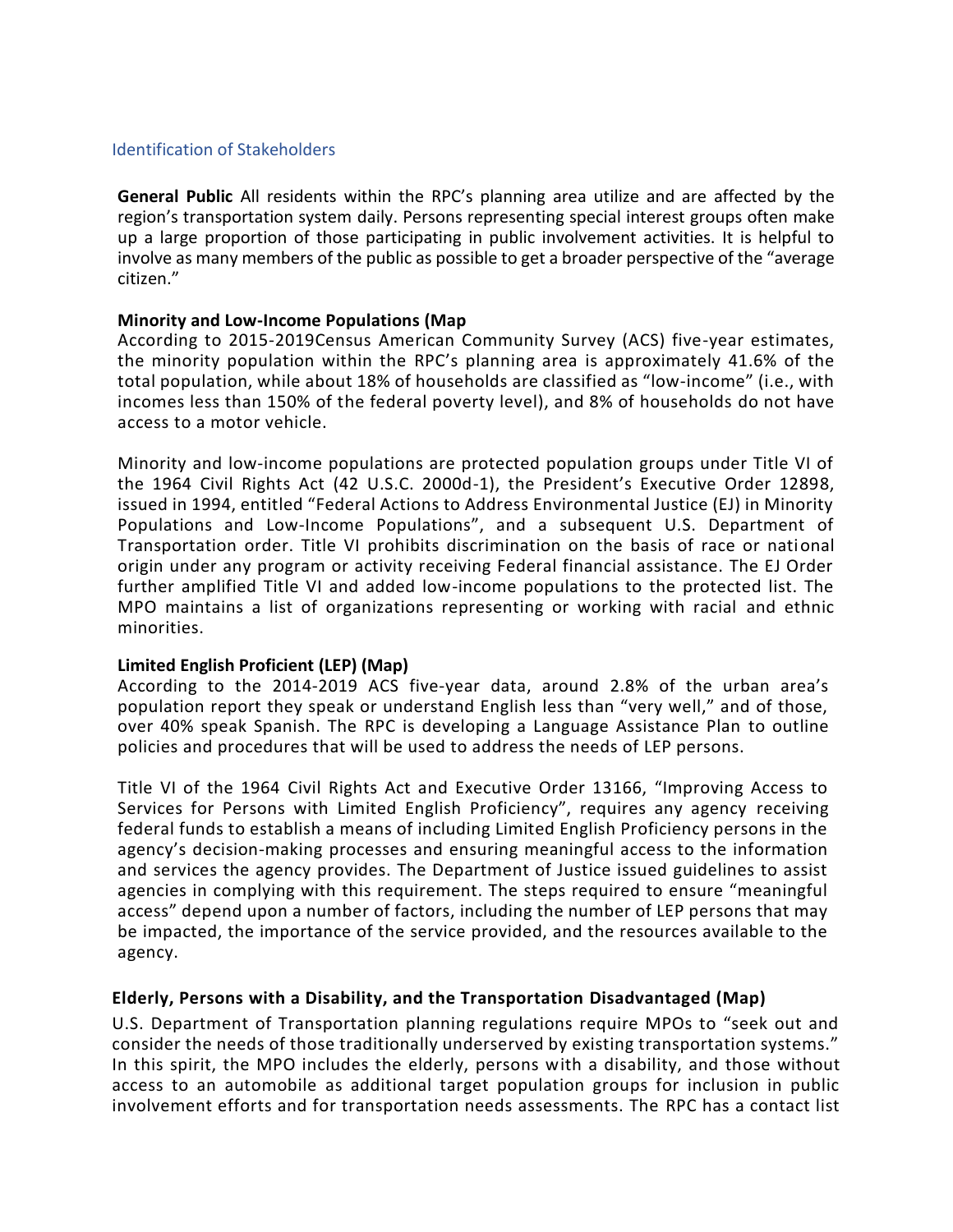#### Identification of Stakeholders

**General Public** All residents within the RPC's planning area utilize and are affected by the region's transportation system daily. Persons representing special interest groups often make up a large proportion of those participating in public involvement activities. It is helpful to involve as many members of the public as possible to get a broader perspective of the "average citizen."

#### **Minority and Low-Income Populations (Map**

According to 2015-2019Census American Community Survey (ACS) five-year estimates, the minority population within the RPC's planning area is approximately 41.6% of the total population, while about 18% of households are classified as "low-income" (i.e., with incomes less than 150% of the federal poverty level), and 8% of households do not have access to a motor vehicle.

Minority and low-income populations are protected population groups under Title VI of the 1964 Civil Rights Act (42 U.S.C. 2000d-1), the President's Executive Order 12898, issued in 1994, entitled "Federal Actions to Address Environmental Justice (EJ) in Minority Populations and Low-Income Populations", and a subsequent U.S. Department of Transportation order. Title VI prohibits discrimination on the basis of race or national origin under any program or activity receiving Federal financial assistance. The EJ Order further amplified Title VI and added low-income populations to the protected list. The MPO maintains a list of organizations representing or working with racial and ethnic minorities.

## **Limited English Proficient (LEP) (Map)**

According to the 2014-2019 ACS five-year data, around 2.8% of the urban area's population report they speak or understand English less than "very well," and of those, over 40% speak Spanish. The RPC is developing a Language Assistance Plan to outline policies and procedures that will be used to address the needs of LEP persons.

Title VI of the 1964 Civil Rights Act and Executive Order 13166, "Improving Access to Services for Persons with Limited English Proficiency", requires any agency receiving federal funds to establish a means of including Limited English Proficiency persons in the agency's decision-making processes and ensuring meaningful access to the information and services the agency provides. The Department of Justice issued guidelines to assist agencies in complying with this requirement. The steps required to ensure "meaningful access" depend upon a number of factors, including the number of LEP persons that may be impacted, the importance of the service provided, and the resources available to the agency.

## **Elderly, Persons with a Disability, and the Transportation Disadvantaged (Map)**

U.S. Department of Transportation planning regulations require MPOs to "seek out and consider the needs of those traditionally underserved by existing transportation systems." In this spirit, the MPO includes the elderly, persons with a disability, and those without access to an automobile as additional target population groups for inclusion in public involvement efforts and for transportation needs assessments. The RPC has a contact list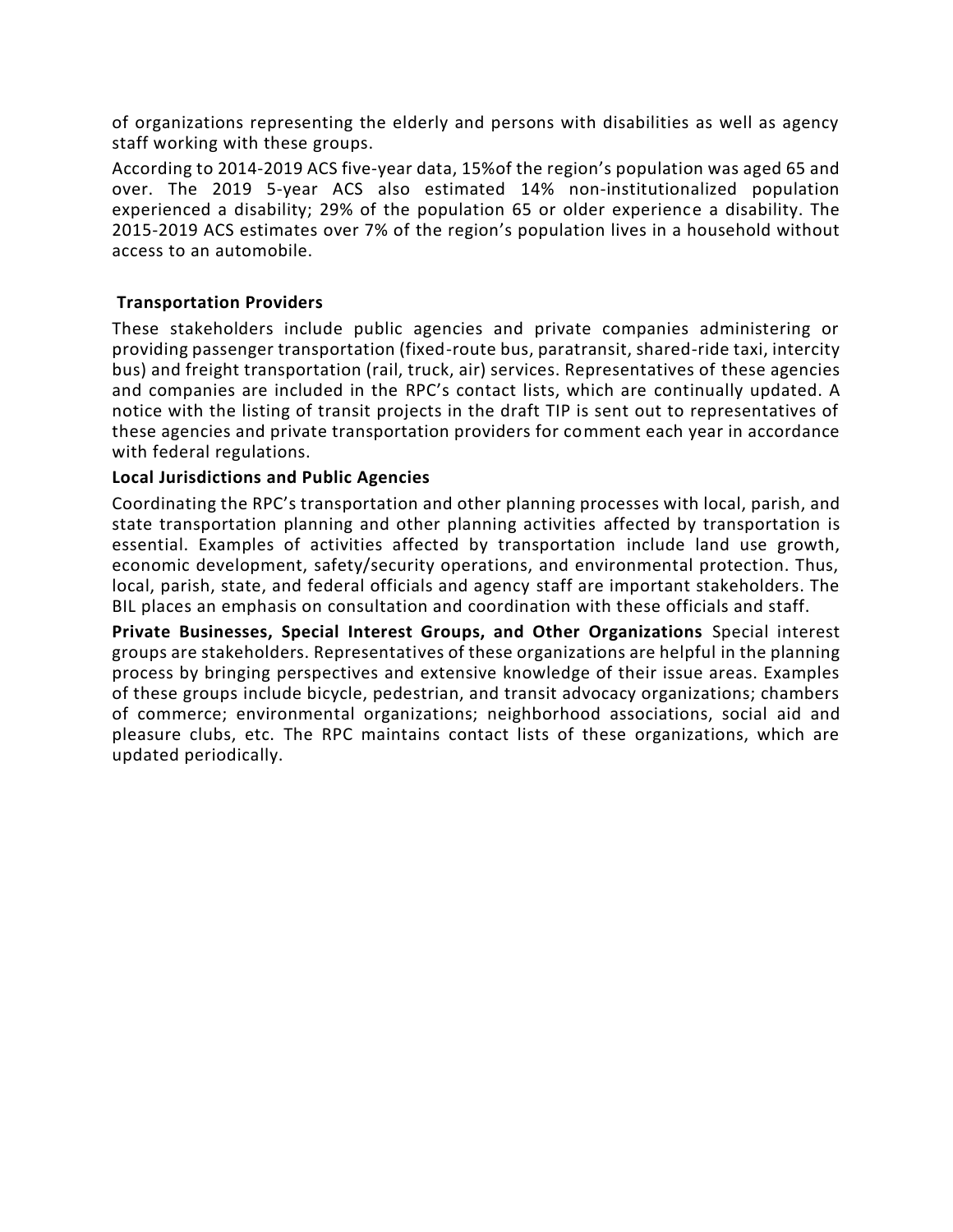of organizations representing the elderly and persons with disabilities as well as agency staff working with these groups.

According to 2014-2019 ACS five-year data, 15%of the region's population was aged 65 and over. The 2019 5-year ACS also estimated 14% non-institutionalized population experienced a disability; 29% of the population 65 or older experience a disability. The 2015-2019 ACS estimates over 7% of the region's population lives in a household without access to an automobile.

## **Transportation Providers**

These stakeholders include public agencies and private companies administering or providing passenger transportation (fixed-route bus, paratransit, shared-ride taxi, intercity bus) and freight transportation (rail, truck, air) services. Representatives of these agencies and companies are included in the RPC's contact lists, which are continually updated. A notice with the listing of transit projects in the draft TIP is sent out to representatives of these agencies and private transportation providers for comment each year in accordance with federal regulations.

## **Local Jurisdictions and Public Agencies**

Coordinating the RPC's transportation and other planning processes with local, parish, and state transportation planning and other planning activities affected by transportation is essential. Examples of activities affected by transportation include land use growth, economic development, safety/security operations, and environmental protection. Thus, local, parish, state, and federal officials and agency staff are important stakeholders. The BIL places an emphasis on consultation and coordination with these officials and staff.

**Private Businesses, Special Interest Groups, and Other Organizations** Special interest groups are stakeholders. Representatives of these organizations are helpful in the planning process by bringing perspectives and extensive knowledge of their issue areas. Examples of these groups include bicycle, pedestrian, and transit advocacy organizations; chambers of commerce; environmental organizations; neighborhood associations, social aid and pleasure clubs, etc. The RPC maintains contact lists of these organizations, which are updated periodically.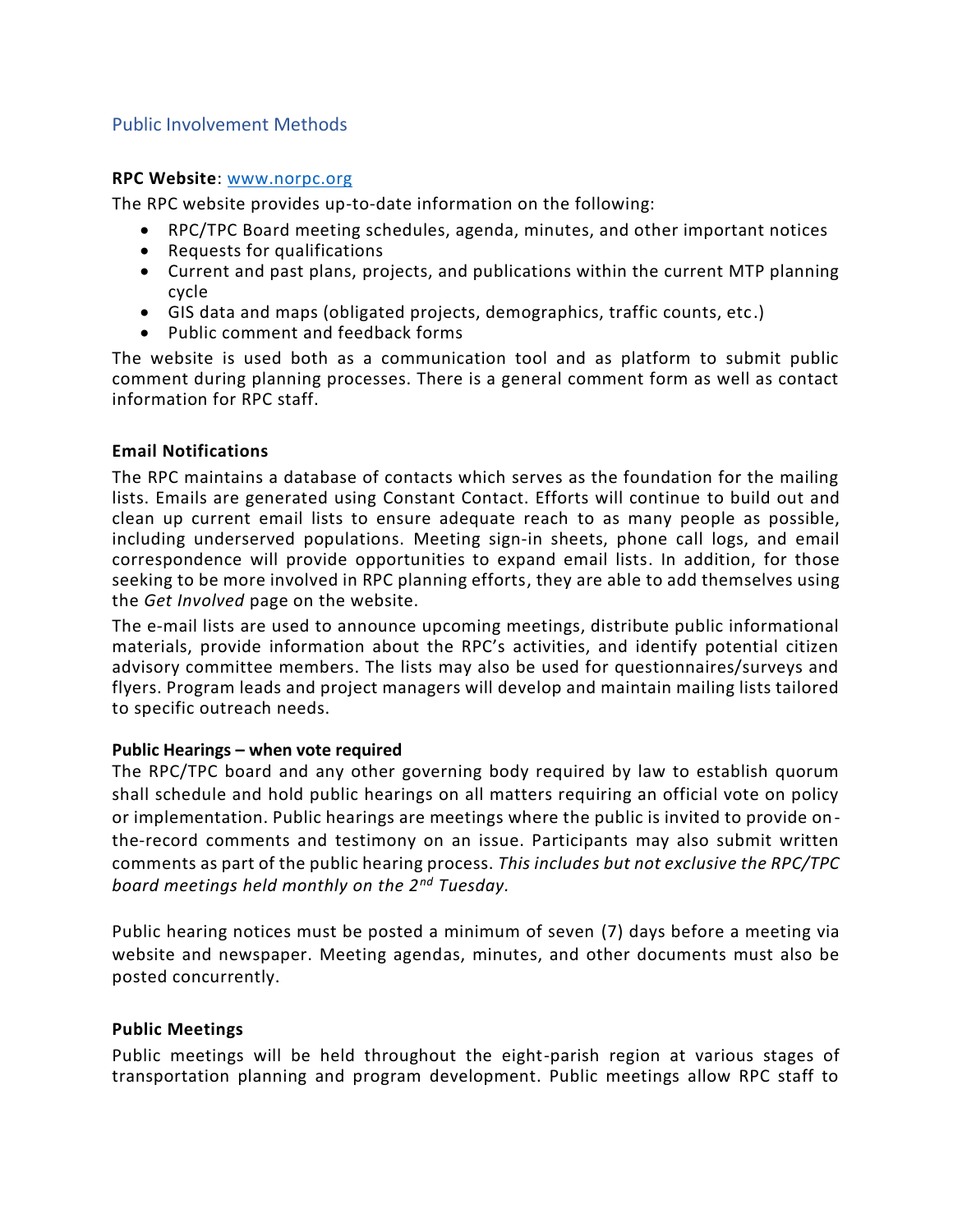## Public Involvement Methods

#### **RPC Website**: [www.norpc.org](http://www.norpc.org/)

The RPC website provides up-to-date information on the following:

- RPC/TPC Board meeting schedules, agenda, minutes, and other important notices
- Requests for qualifications
- Current and past plans, projects, and publications within the current MTP planning cycle
- GIS data and maps (obligated projects, demographics, traffic counts, etc.)
- Public comment and feedback forms

The website is used both as a communication tool and as platform to submit public comment during planning processes. There is a general comment form as well as contact information for RPC staff.

#### **Email Notifications**

The RPC maintains a database of contacts which serves as the foundation for the mailing lists. Emails are generated using Constant Contact. Efforts will continue to build out and clean up current email lists to ensure adequate reach to as many people as possible, including underserved populations. Meeting sign-in sheets, phone call logs, and email correspondence will provide opportunities to expand email lists. In addition, for those seeking to be more involved in RPC planning efforts, they are able to add themselves using the *Get Involved* page on the website.

The e-mail lists are used to announce upcoming meetings, distribute public informational materials, provide information about the RPC's activities, and identify potential citizen advisory committee members. The lists may also be used for questionnaires/surveys and flyers. Program leads and project managers will develop and maintain mailing lists tailored to specific outreach needs.

## **Public Hearings – when vote required**

The RPC/TPC board and any other governing body required by law to establish quorum shall schedule and hold public hearings on all matters requiring an official vote on policy or implementation. Public hearings are meetings where the public is invited to provide onthe-record comments and testimony on an issue. Participants may also submit written comments as part of the public hearing process. *This includes but not exclusive the RPC/TPC board meetings held monthly on the 2nd Tuesday.*

Public hearing notices must be posted a minimum of seven (7) days before a meeting via website and newspaper. Meeting agendas, minutes, and other documents must also be posted concurrently.

## **Public Meetings**

Public meetings will be held throughout the eight-parish region at various stages of transportation planning and program development. Public meetings allow RPC staff to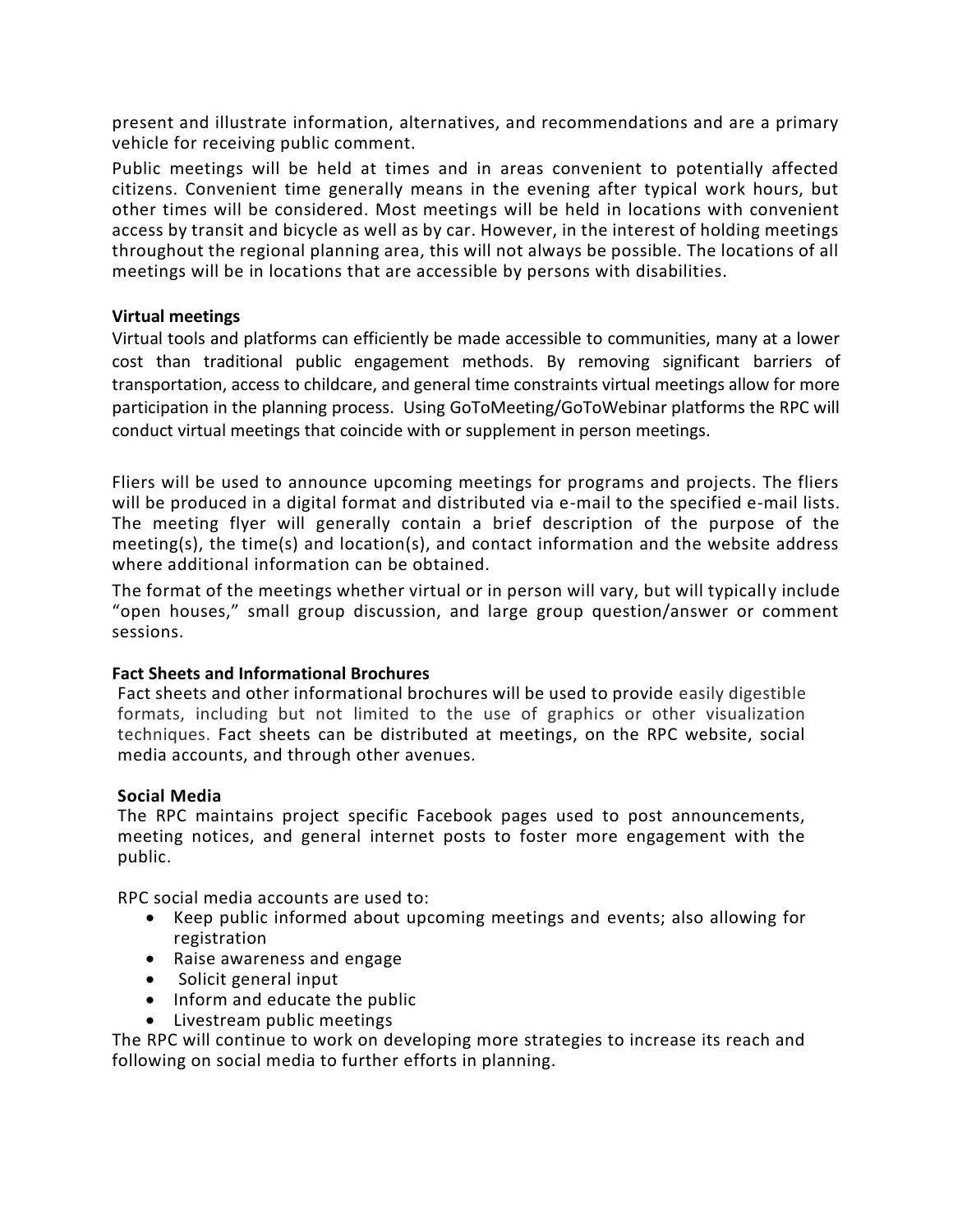present and illustrate information, alternatives, and recommendations and are a primary vehicle for receiving public comment.

Public meetings will be held at times and in areas convenient to potentially affected citizens. Convenient time generally means in the evening after typical work hours, but other times will be considered. Most meetings will be held in locations with convenient access by transit and bicycle as well as by car. However, in the interest of holding meetings throughout the regional planning area, this will not always be possible. The locations of all meetings will be in locations that are accessible by persons with disabilities.

## **Virtual meetings**

Virtual tools and platforms can efficiently be made accessible to communities, many at a lower cost than traditional public engagement methods. By removing significant barriers of transportation, access to childcare, and general time constraints virtual meetings allow for more participation in the planning process. Using GoToMeeting/GoToWebinar platforms the RPC will conduct virtual meetings that coincide with or supplement in person meetings.

Fliers will be used to announce upcoming meetings for programs and projects. The fliers will be produced in a digital format and distributed via e-mail to the specified e-mail lists. The meeting flyer will generally contain a brief description of the purpose of the meeting(s), the time(s) and location(s), and contact information and the website address where additional information can be obtained.

The format of the meetings whether virtual or in person will vary, but will typicall y include "open houses," small group discussion, and large group question/answer or comment sessions.

## **Fact Sheets and Informational Brochures**

Fact sheets and other informational brochures will be used to provide easily digestible formats, including but not limited to the use of graphics or other visualization techniques. Fact sheets can be distributed at meetings, on the RPC website, social media accounts, and through other avenues.

## **Social Media**

The RPC maintains project specific Facebook pages used to post announcements, meeting notices, and general internet posts to foster more engagement with the public.

RPC social media accounts are used to:

- Keep public informed about upcoming meetings and events; also allowing for registration
- Raise awareness and engage
- Solicit general input
- Inform and educate the public
- Livestream public meetings

The RPC will continue to work on developing more strategies to increase its reach and following on social media to further efforts in planning.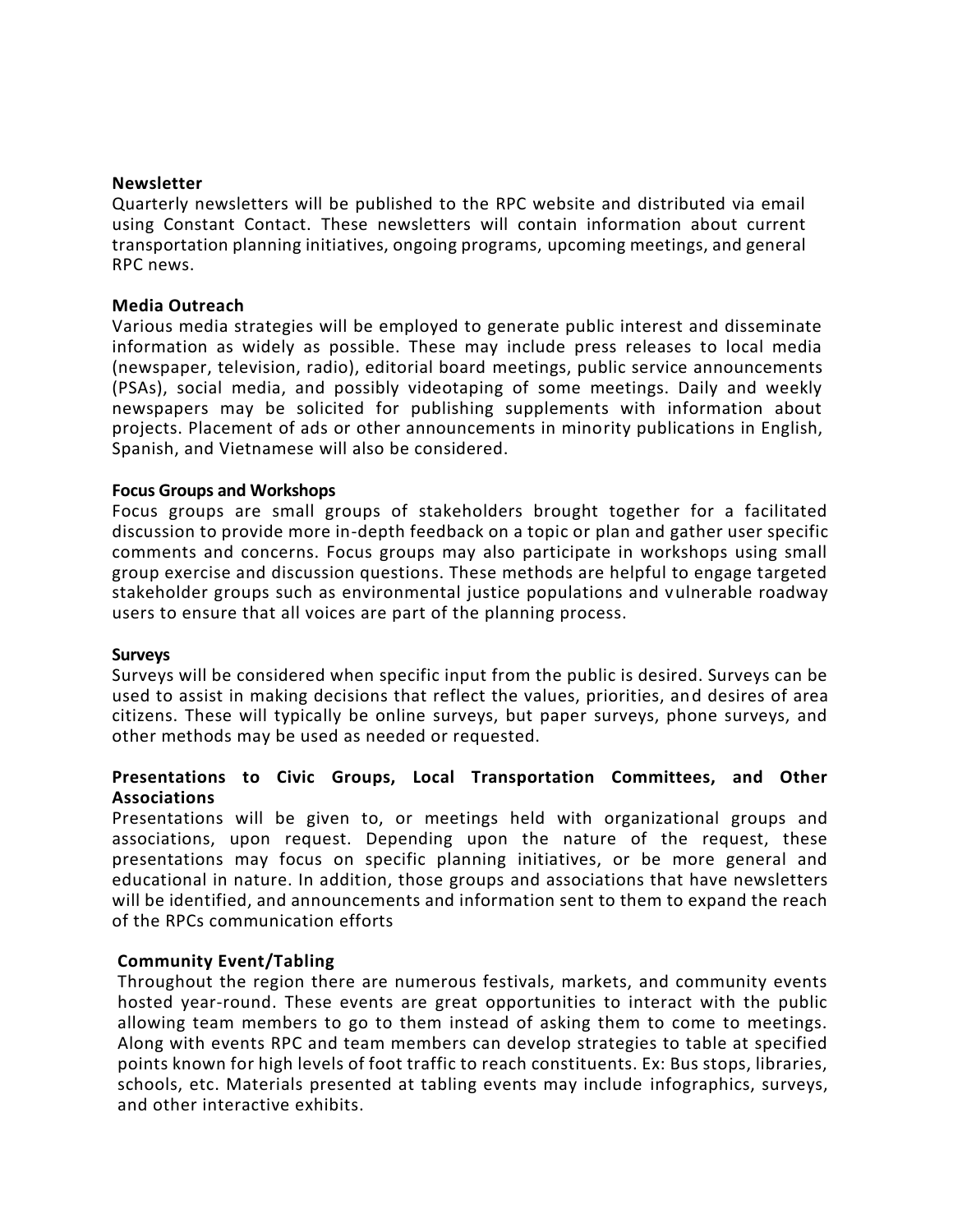#### **Newsletter**

Quarterly newsletters will be published to the RPC website and distributed via email using Constant Contact. These newsletters will contain information about current transportation planning initiatives, ongoing programs, upcoming meetings, and general RPC news.

#### **Media Outreach**

Various media strategies will be employed to generate public interest and disseminate information as widely as possible. These may include press releases to local media (newspaper, television, radio), editorial board meetings, public service announcements (PSAs), social media, and possibly videotaping of some meetings. Daily and weekly newspapers may be solicited for publishing supplements with information about projects. Placement of ads or other announcements in minority publications in English, Spanish, and Vietnamese will also be considered.

#### **Focus Groups and Workshops**

Focus groups are small groups of stakeholders brought together for a facilitated discussion to provide more in-depth feedback on a topic or plan and gather user specific comments and concerns. Focus groups may also participate in workshops using small group exercise and discussion questions. These methods are helpful to engage targeted stakeholder groups such as environmental justice populations and vulnerable roadway users to ensure that all voices are part of the planning process.

#### **Surveys**

Surveys will be considered when specific input from the public is desired. Surveys can be used to assist in making decisions that reflect the values, priorities, and desires of area citizens. These will typically be online surveys, but paper surveys, phone surveys, and other methods may be used as needed or requested.

#### **Presentations to Civic Groups, Local Transportation Committees, and Other Associations**

Presentations will be given to, or meetings held with organizational groups and associations, upon request. Depending upon the nature of the request, these presentations may focus on specific planning initiatives, or be more general and educational in nature. In addition, those groups and associations that have newsletters will be identified, and announcements and information sent to them to expand the reach of the RPCs communication efforts

#### **Community Event/Tabling**

Throughout the region there are numerous festivals, markets, and community events hosted year-round. These events are great opportunities to interact with the public allowing team members to go to them instead of asking them to come to meetings. Along with events RPC and team members can develop strategies to table at specified points known for high levels of foot traffic to reach constituents. Ex: Bus stops, libraries, schools, etc. Materials presented at tabling events may include infographics, surveys, and other interactive exhibits.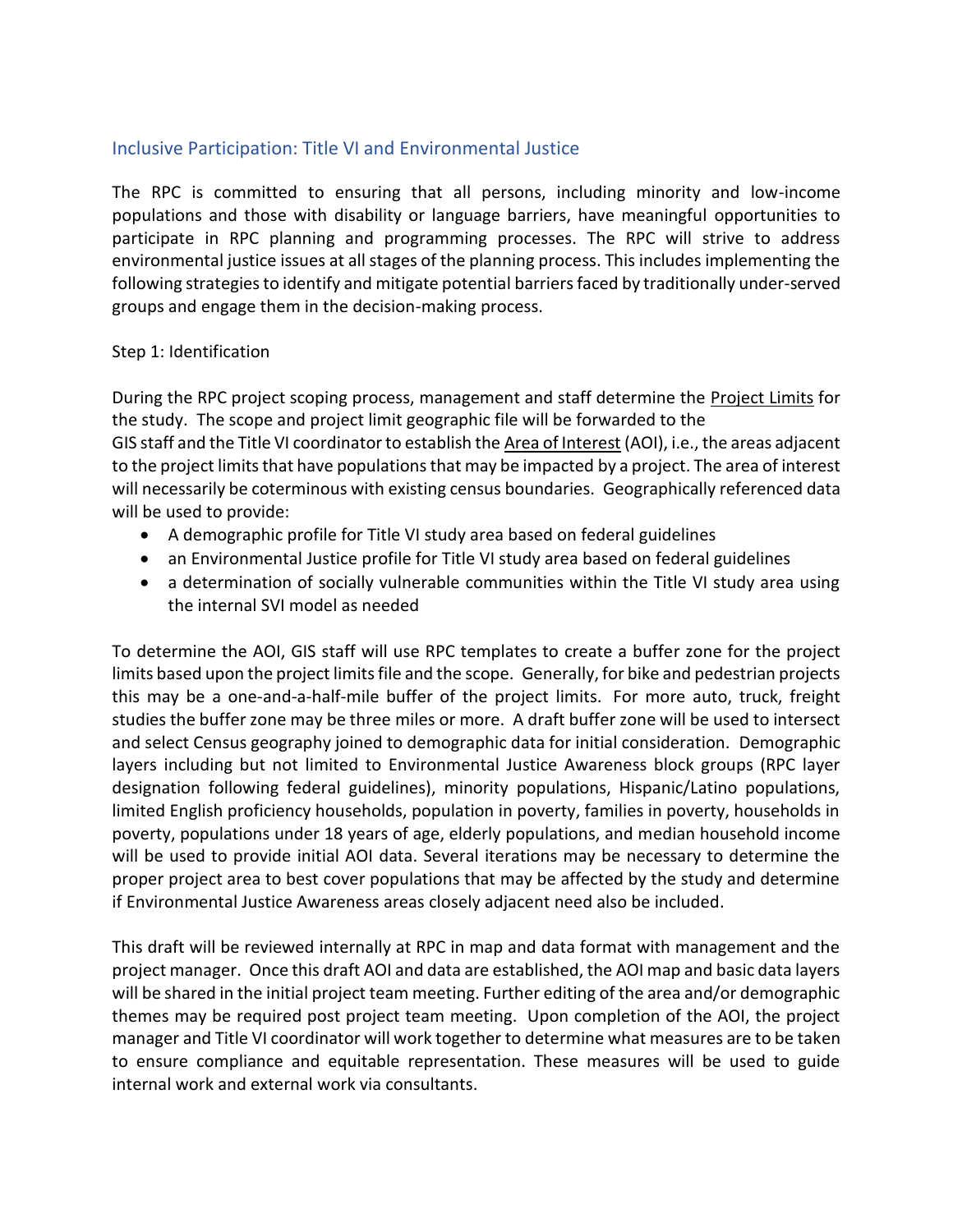# Inclusive Participation: Title VI and Environmental Justice

The RPC is committed to ensuring that all persons, including minority and low-income populations and those with disability or language barriers, have meaningful opportunities to participate in RPC planning and programming processes. The RPC will strive to address environmental justice issues at all stages of the planning process. This includes implementing the following strategies to identify and mitigate potential barriers faced by traditionally under-served groups and engage them in the decision-making process.

## Step 1: Identification

During the RPC project scoping process, management and staff determine the Project Limits for the study. The scope and project limit geographic file will be forwarded to the GIS staff and the Title VI coordinator to establish the Area of Interest (AOI), i.e., the areas adjacent to the project limits that have populations that may be impacted by a project. The area of interest will necessarily be coterminous with existing census boundaries. Geographically referenced data will be used to provide:

- A demographic profile for Title VI study area based on federal guidelines
- an Environmental Justice profile for Title VI study area based on federal guidelines
- a determination of socially vulnerable communities within the Title VI study area using the internal SVI model as needed

To determine the AOI, GIS staff will use RPC templates to create a buffer zone for the project limits based upon the project limits file and the scope. Generally, for bike and pedestrian projects this may be a one-and-a-half-mile buffer of the project limits. For more auto, truck, freight studies the buffer zone may be three miles or more. A draft buffer zone will be used to intersect and select Census geography joined to demographic data for initial consideration. Demographic layers including but not limited to Environmental Justice Awareness block groups (RPC layer designation following federal guidelines), minority populations, Hispanic/Latino populations, limited English proficiency households, population in poverty, families in poverty, households in poverty, populations under 18 years of age, elderly populations, and median household income will be used to provide initial AOI data. Several iterations may be necessary to determine the proper project area to best cover populations that may be affected by the study and determine if Environmental Justice Awareness areas closely adjacent need also be included.

This draft will be reviewed internally at RPC in map and data format with management and the project manager. Once this draft AOI and data are established, the AOI map and basic data layers will be shared in the initial project team meeting. Further editing of the area and/or demographic themes may be required post project team meeting. Upon completion of the AOI, the project manager and Title VI coordinator will work together to determine what measures are to be taken to ensure compliance and equitable representation. These measures will be used to guide internal work and external work via consultants.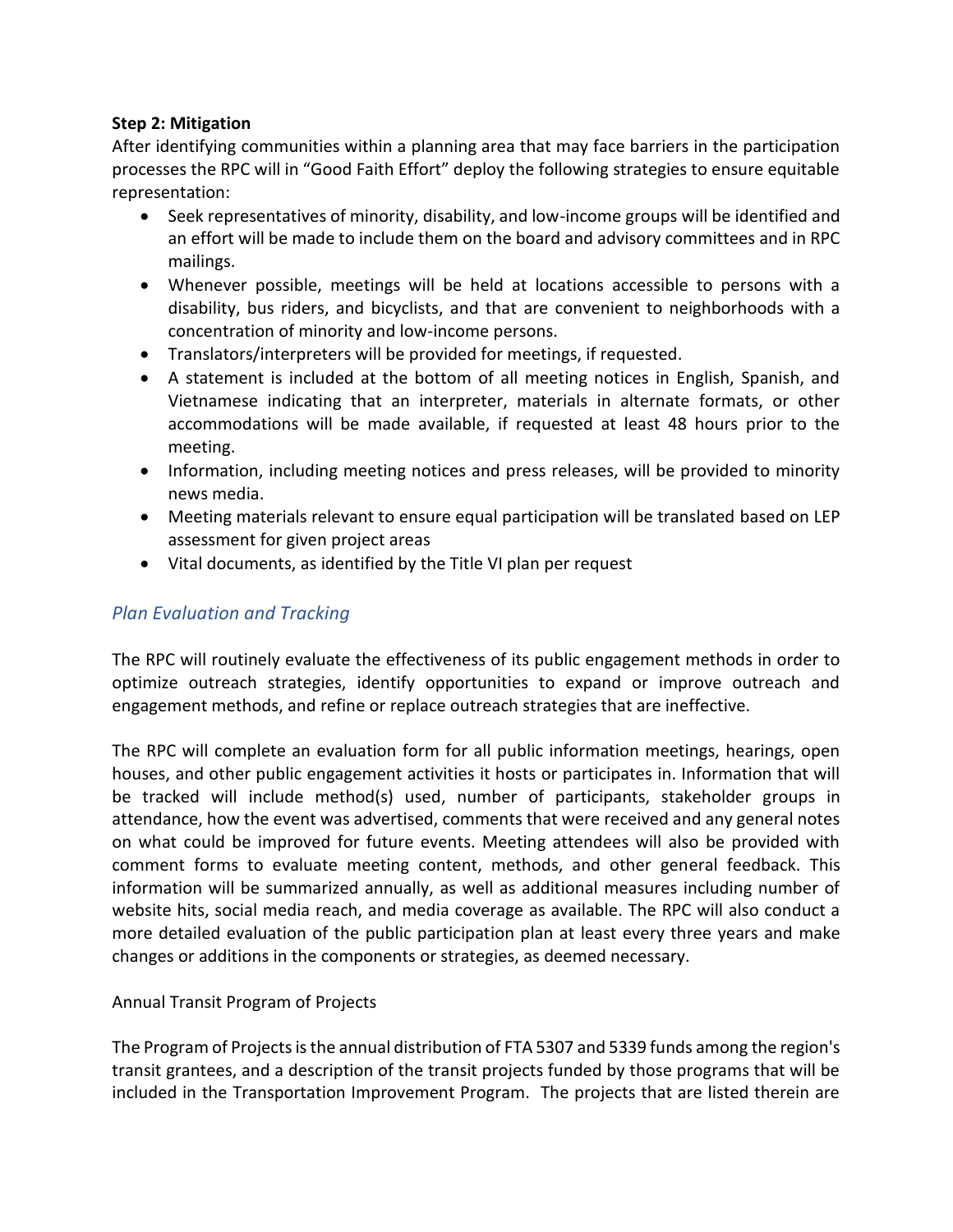## **Step 2: Mitigation**

After identifying communities within a planning area that may face barriers in the participation processes the RPC will in "Good Faith Effort" deploy the following strategies to ensure equitable representation:

- Seek representatives of minority, disability, and low-income groups will be identified and an effort will be made to include them on the board and advisory committees and in RPC mailings.
- Whenever possible, meetings will be held at locations accessible to persons with a disability, bus riders, and bicyclists, and that are convenient to neighborhoods with a concentration of minority and low-income persons.
- Translators/interpreters will be provided for meetings, if requested.
- A statement is included at the bottom of all meeting notices in English, Spanish, and Vietnamese indicating that an interpreter, materials in alternate formats, or other accommodations will be made available, if requested at least 48 hours prior to the meeting.
- Information, including meeting notices and press releases, will be provided to minority news media.
- Meeting materials relevant to ensure equal participation will be translated based on LEP assessment for given project areas
- Vital documents, as identified by the Title VI plan per request

# *Plan Evaluation and Tracking*

The RPC will routinely evaluate the effectiveness of its public engagement methods in order to optimize outreach strategies, identify opportunities to expand or improve outreach and engagement methods, and refine or replace outreach strategies that are ineffective.

The RPC will complete an evaluation form for all public information meetings, hearings, open houses, and other public engagement activities it hosts or participates in. Information that will be tracked will include method(s) used, number of participants, stakeholder groups in attendance, how the event was advertised, comments that were received and any general notes on what could be improved for future events. Meeting attendees will also be provided with comment forms to evaluate meeting content, methods, and other general feedback. This information will be summarized annually, as well as additional measures including number of website hits, social media reach, and media coverage as available. The RPC will also conduct a more detailed evaluation of the public participation plan at least every three years and make changes or additions in the components or strategies, as deemed necessary.

## Annual Transit Program of Projects

The Program of Projects is the annual distribution of FTA 5307 and 5339 funds among the region's transit grantees, and a description of the transit projects funded by those programs that will be included in the Transportation Improvement Program. The projects that are listed therein are